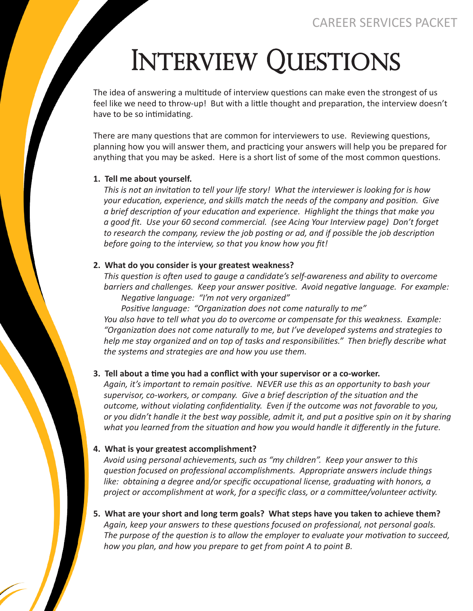# INTERVIEW QUESTIONS

The idea of answering a multitude of interview questions can make even the strongest of us feel like we need to throw-up! But with a little thought and preparation, the interview doesn't have to be so intimidating.

There are many questions that are common for interviewers to use. Reviewing questions, planning how you will answer them, and practicing your answers will help you be prepared for anything that you may be asked. Here is a short list of some of the most common questions.

### **1. Tell me about yourself.**

 *This is not an invitation to tell your life story! What the interviewer is looking for is how your education, experience, and skills match the needs of the company and position. Give a brief description of your education and experience. Highlight the things that make you a good fit. Use your 60 second commercial. (see Acing Your Interview page) Don't forget to research the company, review the job posting or ad, and if possible the job description before going to the interview, so that you know how you fit!*

### **2. What do you consider is your greatest weakness?**

 *This question is often used to gauge a candidate's self-awareness and ability to overcome barriers and challenges. Keep your answer positive. Avoid negative language. For example: Negative language: "I'm not very organized"* 

*Positive language: "Organization does not come naturally to me" You also have to tell what you do to overcome or compensate for this weakness. Example: "Organization does not come naturally to me, but I've developed systems and strategies to help me stay organized and on top of tasks and responsibilities." Then briefly describe what the systems and strategies are and how you use them.*

### **3. Tell about a time you had a conflict with your supervisor or a co-worker.**

 *Again, it's important to remain positive. NEVER use this as an opportunity to bash your supervisor, co-workers, or company. Give a brief description of the situation and the outcome, without violating confidentiality. Even if the outcome was not favorable to you, or you didn't handle it the best way possible, admit it, and put a positive spin on it by sharing what you learned from the situation and how you would handle it differently in the future.*

### **4. What is your greatest accomplishment?**

 *Avoid using personal achievements, such as "my children". Keep your answer to this question focused on professional accomplishments. Appropriate answers include things like: obtaining a degree and/or specific occupational license, graduating with honors, a project or accomplishment at work, for a specific class, or a committee/volunteer activity.*

**5. What are your short and long term goals? What steps have you taken to achieve them?**  *Again, keep your answers to these questions focused on professional, not personal goals. The purpose of the question is to allow the employer to evaluate your motivation to succeed, how you plan, and how you prepare to get from point A to point B.*